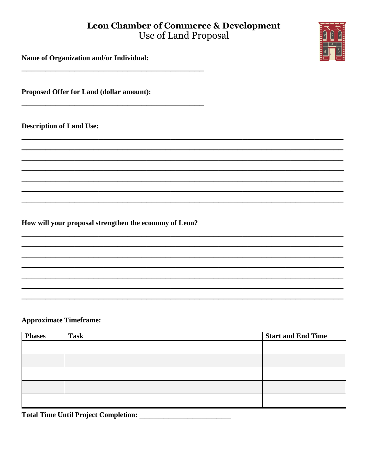# **Leon Chamber of Commerce & Development** Use of Land Proposal

Name of Organization and/or Individual:

Proposed Offer for Land (dollar amount):

**Description of Land Use:** 

How will your proposal strengthen the economy of Leon?

### **Approximate Timeframe:**

| <b>Phases</b> | <b>Task</b> | <b>Start and End Time</b> |
|---------------|-------------|---------------------------|
|               |             |                           |
|               |             |                           |
|               |             |                           |
|               |             |                           |
|               |             |                           |